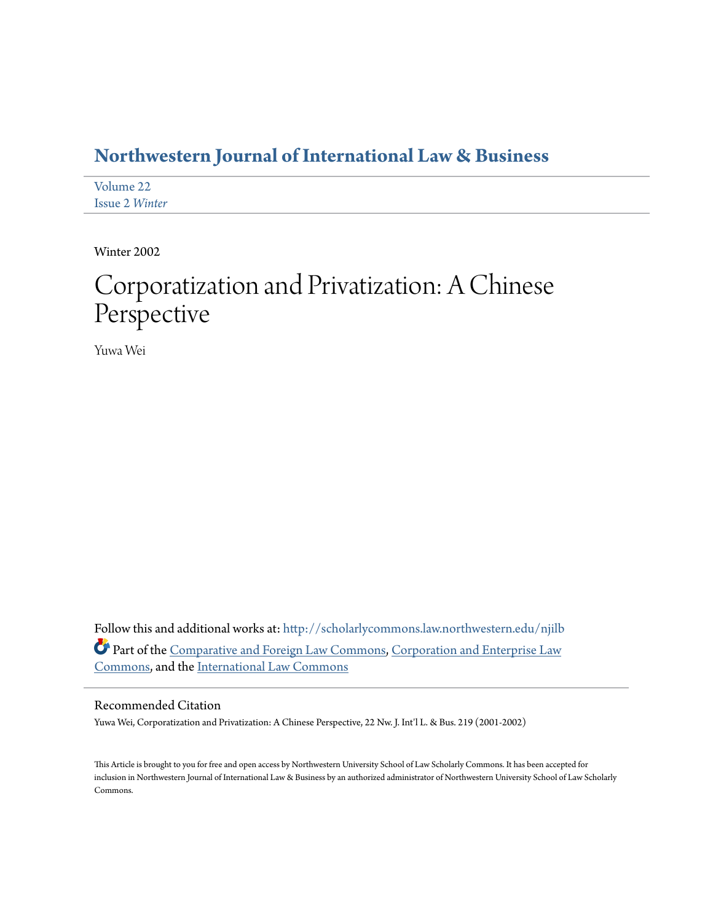# **[Northwestern Journal of International Law & Business](http://scholarlycommons.law.northwestern.edu/njilb?utm_source=scholarlycommons.law.northwestern.edu%2Fnjilb%2Fvol22%2Fiss2%2F14&utm_medium=PDF&utm_campaign=PDFCoverPages)**

[Volume 22](http://scholarlycommons.law.northwestern.edu/njilb/vol22?utm_source=scholarlycommons.law.northwestern.edu%2Fnjilb%2Fvol22%2Fiss2%2F14&utm_medium=PDF&utm_campaign=PDFCoverPages) [Issue 2](http://scholarlycommons.law.northwestern.edu/njilb/vol22/iss2?utm_source=scholarlycommons.law.northwestern.edu%2Fnjilb%2Fvol22%2Fiss2%2F14&utm_medium=PDF&utm_campaign=PDFCoverPages) *Winter*

Winter 2002

# Corporatization and Privatization: A Chinese Perspective

Yuwa Wei

Follow this and additional works at: [http://scholarlycommons.law.northwestern.edu/njilb](http://scholarlycommons.law.northwestern.edu/njilb?utm_source=scholarlycommons.law.northwestern.edu%2Fnjilb%2Fvol22%2Fiss2%2F14&utm_medium=PDF&utm_campaign=PDFCoverPages) Part of the [Comparative and Foreign Law Commons](http://network.bepress.com/hgg/discipline/836?utm_source=scholarlycommons.law.northwestern.edu%2Fnjilb%2Fvol22%2Fiss2%2F14&utm_medium=PDF&utm_campaign=PDFCoverPages), [Corporation and Enterprise Law](http://network.bepress.com/hgg/discipline/900?utm_source=scholarlycommons.law.northwestern.edu%2Fnjilb%2Fvol22%2Fiss2%2F14&utm_medium=PDF&utm_campaign=PDFCoverPages) [Commons,](http://network.bepress.com/hgg/discipline/900?utm_source=scholarlycommons.law.northwestern.edu%2Fnjilb%2Fvol22%2Fiss2%2F14&utm_medium=PDF&utm_campaign=PDFCoverPages) and the [International Law Commons](http://network.bepress.com/hgg/discipline/609?utm_source=scholarlycommons.law.northwestern.edu%2Fnjilb%2Fvol22%2Fiss2%2F14&utm_medium=PDF&utm_campaign=PDFCoverPages)

## Recommended Citation

Yuwa Wei, Corporatization and Privatization: A Chinese Perspective, 22 Nw. J. Int'l L. & Bus. 219 (2001-2002)

This Article is brought to you for free and open access by Northwestern University School of Law Scholarly Commons. It has been accepted for inclusion in Northwestern Journal of International Law & Business by an authorized administrator of Northwestern University School of Law Scholarly Commons.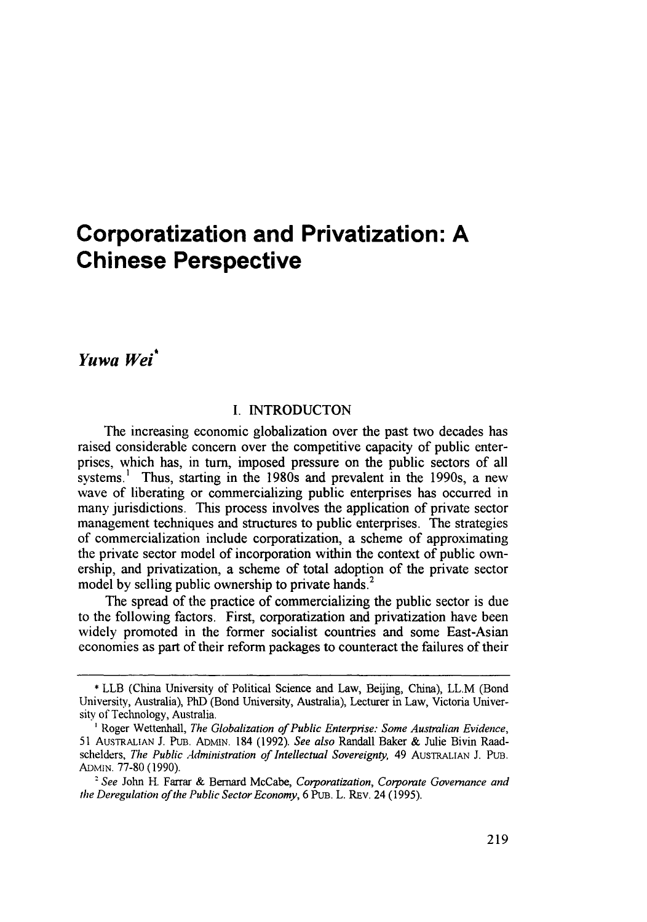# **Corporatization and Privatization: A Chinese Perspective**

*Yuwa Wei"*

#### **I. INTRODUCTON**

The increasing economic globalization over the past two decades has raised considerable concern over the competitive capacity of public enterprises, which has, in turn, imposed pressure on the public sectors of all systems.<sup>1</sup> Thus, starting in the 1980s and prevalent in the 1990s, a new wave of liberating or commercializing public enterprises has occurred in many jurisdictions. This process involves the application of private sector management techniques and structures to public enterprises. The strategies of commercialization include corporatization, a scheme of approximating the private sector model of incorporation within the context of public **own**ership, and privatization, a scheme of total adoption of the private sector model **by** selling public ownership to private hands.

The spread of the practice of commercializing the public sector is due to the following factors. First, corporatization and privatization have been widely promoted in the former socialist countries and some East-Asian economies as part of their reform packages to counteract the failures of their

**<sup>\*</sup>** LLB (China University of Political Science and Law, Beijing, China), LL.M (Bond University, Australia), PhD (Bond University, Australia), Lecturer in Law, Victoria University of Technology, Australia.

**I** Roger Wettenhall, *The Globalization of Public Enterprise: Some Australian Evidence,* **51** AUSTRALIAN J. PuB. ADMIN. 184 **(1992).** *See also* Randall Baker **&** Julie Bivin Raadschelders, *The Public Administration of Intellectual Sovereignty,* 49 AUSTRALIAN **J.** PUB. **ADN4AN. 77-80 (1990).**

<sup>&#</sup>x27; *See* John H. Farrar & Bernard McCabe, *Corporatization, Corporate Governance and* the *Deregulation of the Public Sector Economy,* 6 PuB. L. REv. 24 (1995).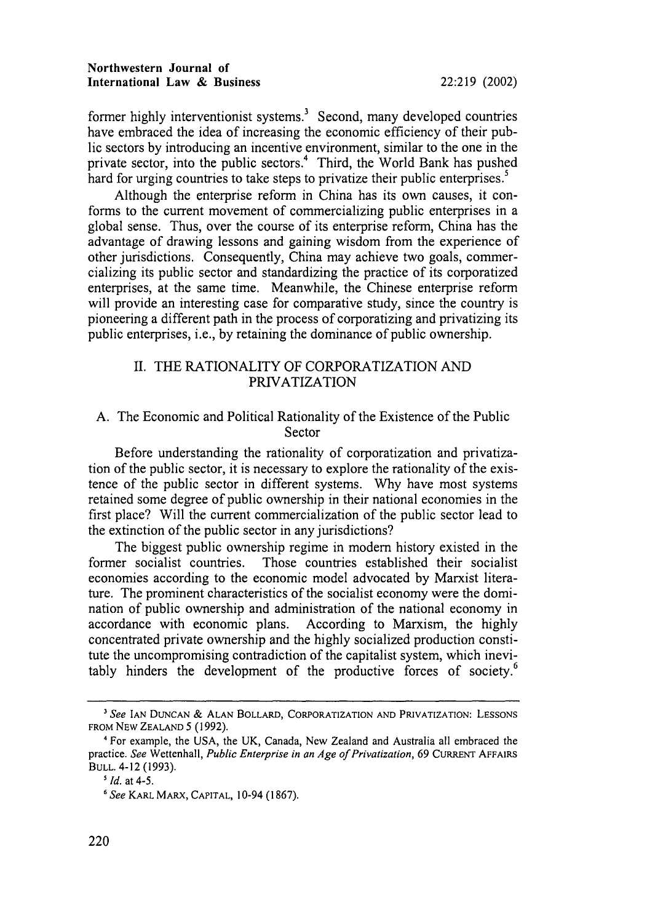former **highly** interventionist systems.' Second, many developed countries have embraced the idea of increasing the economic efficiency of their public sectors **by** introducing an incentive environment, similar to the one in the private sector, into the public sectors.<sup>4</sup> Third, the World Bank has pushed hard for urging countries to take steps to privatize their public enterprises.<sup>5</sup>

Although the enterprise reform in China has its own causes, it conforms to the current movement of commercializing public enterprises in a global sense. Thus, over the course of its enterprise reform, China has the advantage of drawing lessons and gaining wisdom from the experience of other jurisdictions. Consequently, China may achieve two goals, commercializing its public sector and standardizing the practice of its corporatized enterprises, at the same time. Meanwhile, the Chinese enterprise reform will provide an interesting case for comparative study, since the country is pioneering a different path in the process of corporatizing and privatizing its public enterprises, i.e., **by** retaining the dominance of public ownership.

# **II.** THE RATIONALITY OF CORPORATIZATION **AND PRIVATIZATION**

# **A.** The Economic and Political Rationality of the Existence of the Public Sector

Before understanding the rationality of corporatization and privatization of the public sector, it is necessary to explore the rationality of the existence of the public sector in different systems. **Why** have most systems retained some degree of public ownership in their national economies in the first place? Will the current commercialization of the public sector lead to the extinction of the public sector in any jurisdictions?

The biggest public ownership regime in modem history existed in the former socialist countries. Those countries established their socialist economies according to the economic model advocated **by** Marxist literature. The prominent characteristics of the socialist economy were the domination of public ownership and administration of the national economy in accordance with economic plans. According to Marxism, the **highly** concentrated private ownership and the **highly** socialized production constitute the uncompromising contradiction of the capitalist system, which inevitably hinders the development of the productive forces of society.<sup>6</sup>

*See* **IAN DUNCAN & ALAN** BOLLARD, **CORPORATIZATION AND** PRIVATIZATION: **LESSONS** FROM NEW **ZEALAND** 5 (1992).

<sup>&#</sup>x27;For example, the USA, the UK, Canada, New Zealand and Australia all embraced the practice. *See* Wettenhall, *Public Enterprise in an Age of Privatization,* 69 CURRENT AFFAIRS **BULL.** 4-12 (1993).

<sup>&</sup>lt;sup>5</sup> *Id.* at 4-5.

*<sup>6</sup> See* KARL MARX, **CAPITAL,** 10-94 (1867).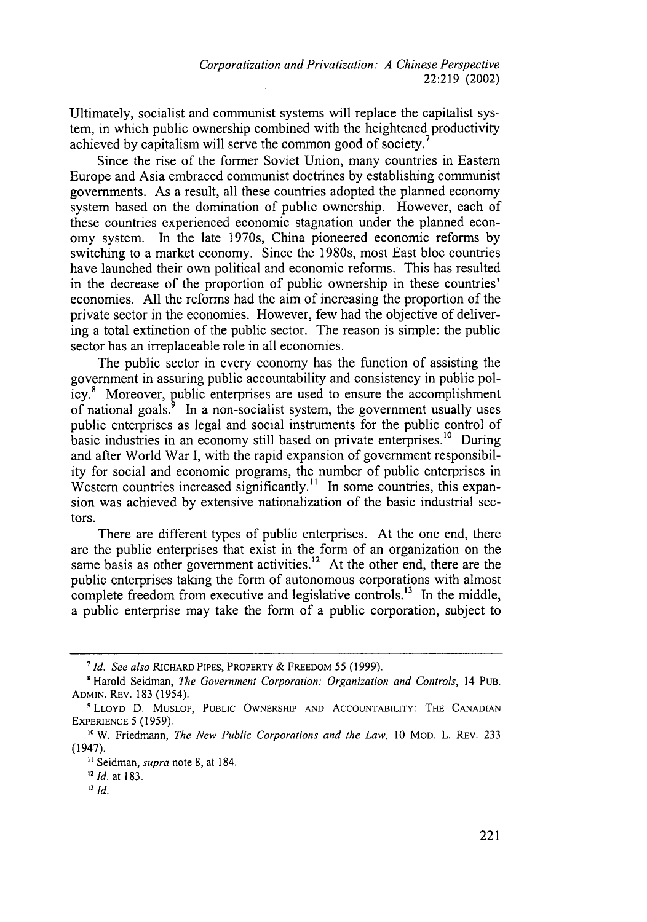Ultimately, socialist and communist systems will replace the capitalist system, in which public ownership combined with the heightened productivity achieved by capitalism will serve the common good of society.'

Since the rise of the former Soviet Union, many countries in Eastern Europe and Asia embraced communist doctrines by establishing communist governments. As a result, all these countries adopted the planned economy system based on the domination of public ownership. However, each of these countries experienced economic stagnation under the planned economy system. In the late 1970s, China pioneered economic reforms by switching to a market economy. Since the 1980s, most East bloc countries have launched their own political and economic reforms. This has resulted in the decrease of the proportion of public ownership in these countries' economies. All the reforms had the aim of increasing the proportion of the private sector in the economies. However, few had the objective of delivering a total extinction of the public sector. The reason is simple: the public sector has an irreplaceable role in all economies.

The public sector in every economy has the function of assisting the government in assuring public accountability and consistency in public policy. $8$  Moreover, public enterprises are used to ensure the accomplishment of national goals.<sup>9</sup> In a non-socialist system, the government usually uses public enterprises as legal and social instruments for the public control of basic industries in an economy still based on private enterprises.<sup>10</sup> During and after World War I, with the rapid expansion of government responsibility for social and economic programs, the number of public enterprises in Western countries increased significantly.<sup>11</sup> In some countries, this expansion was achieved by extensive nationalization of the basic industrial sectors.

There are different types of public enterprises. At the one end, there are the public enterprises that exist in the form of an organization on the same basis as other government activities.<sup>12</sup> At the other end, there are the public enterprises taking the form of autonomous corporations with almost complete freedom from executive and legislative controls.<sup>13</sup> In the middle, a public enterprise may take the form of a public corporation, subject to

*<sup>7</sup>Id. See also* RICHARD PIPES, PROPERTY & FREEDOM 55 (1999).

**<sup>&#</sup>x27;** Harold Seidman, *The Government Corporation: Organization and Controls,* 14 PUB. ADMIN. REV. 183 (1954).

<sup>9</sup>LLOYD D. MUSLOF, PUBLIC OWNERSHIP AND ACCOUNTABILITY: THE CANADIAN EXPERIENCE **5** (1959).

**<sup>&</sup>quot;** W. Friedmann, *The* New *Public Corporations and the Law,* 10 MOD. L. REv. 233 (1947).

<sup>&</sup>lt;sup>11</sup> Seidman, *supra* note 8, at 184.

*<sup>1</sup>d.* at **183.**

*<sup>13</sup>Id.*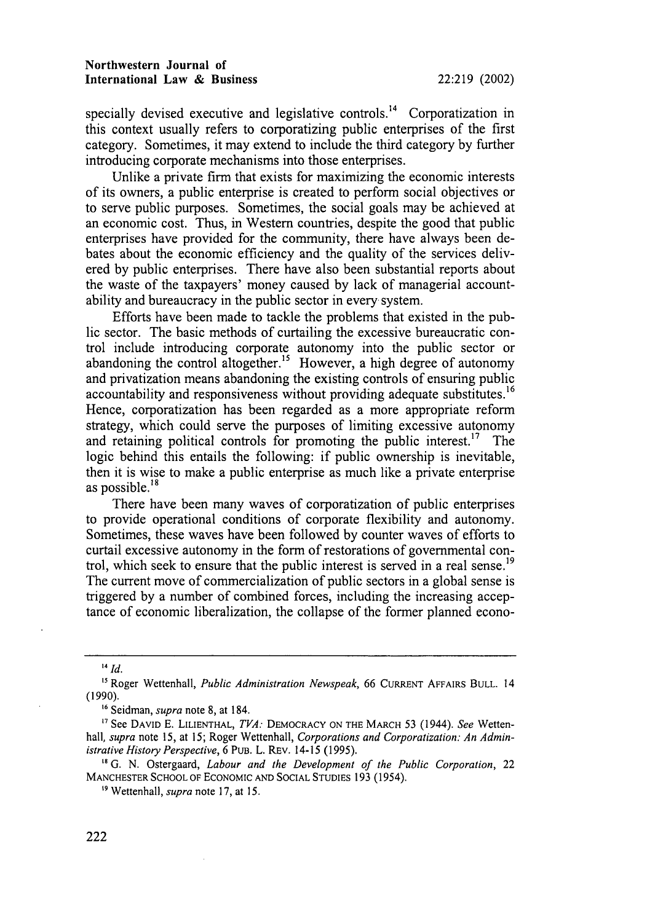#### **Northwestern Journal of International Law & Business 22:219 (2002)**

specially devised executive and legislative controls.<sup>14</sup> Corporatization in this context usually refers to corporatizing public enterprises of the first category. Sometimes, it may extend to include the third category by further introducing corporate mechanisms into those enterprises.

Unlike a private firm that exists for maximizing the economic interests of its owners, a public enterprise is created to perform social objectives or to serve public purposes. Sometimes, the social goals may be achieved at an economic cost. Thus, in Western countries, despite the good that public enterprises have provided for the community, there have always been debates about the economic efficiency and the quality of the services delivered by public enterprises. There have also been substantial reports about the waste of the taxpayers' money caused by lack of managerial accountability and bureaucracy in the public sector in every system.

Efforts have been made to tackle the problems that existed in the public sector. The basic methods of curtailing the excessive bureaucratic control include introducing corporate autonomy into the public sector or abandoning the control altogether.<sup>15</sup> However, a high degree of autonomy and privatization means abandoning the existing controls of ensuring public accountability and responsiveness without providing adequate substitutes.<sup>16</sup> Hence, corporatization has been regarded as a more appropriate reform strategy, which could serve the purposes of limiting excessive autonomy and retaining political controls for promoting the public interest.<sup>17</sup> The logic behind this entails the following: if public ownership is inevitable, then it is wise to make a public enterprise as much like a private enterprise as possible. $18$ 

There have been many waves of corporatization of public enterprises to provide operational conditions of corporate flexibility and autonomy. Sometimes, these waves have been followed by counter waves of efforts to curtail excessive autonomy in the form of restorations of governmental control, which seek to ensure that the public interest is served in a real sense.<sup>19</sup> The current move of commercialization of public sectors in a global sense is triggered by a number of combined forces, including the increasing acceptance of economic liberalization, the collapse of the former planned econo-

**<sup>16</sup>**Seidman, *supra* note 8, at 184.

<sup>14</sup> *Id.*

<sup>&</sup>lt;sup>15</sup> Roger Wettenhall, *Public Administration Newspeak*, 66 CURRENT AFFAIRS BULL. 14 (1990).

**<sup>&#</sup>x27;7** See DAVID E. LILIENTHAL, *TVA:* DEMOCRACY **ON THE** MARCH 53 (1944). *See* Wetten*hall, supra* note 15, at 15; Roger Wettenhall, *Corporations and Corporatization: An Administrative History Perspective,* 6 PUB. L. REv. 14-15 (1995).

**<sup>&</sup>quot;** G. N. Ostergaard, *Labour and the Development of the Public Corporation,* 22 **MANCHESTER SCHOOL** OF **ECONOMIC AND SOCIAL** STUDIES 193 (1954).

**<sup>&#</sup>x27;"** Wettenhall, *supra* note 17, at 15.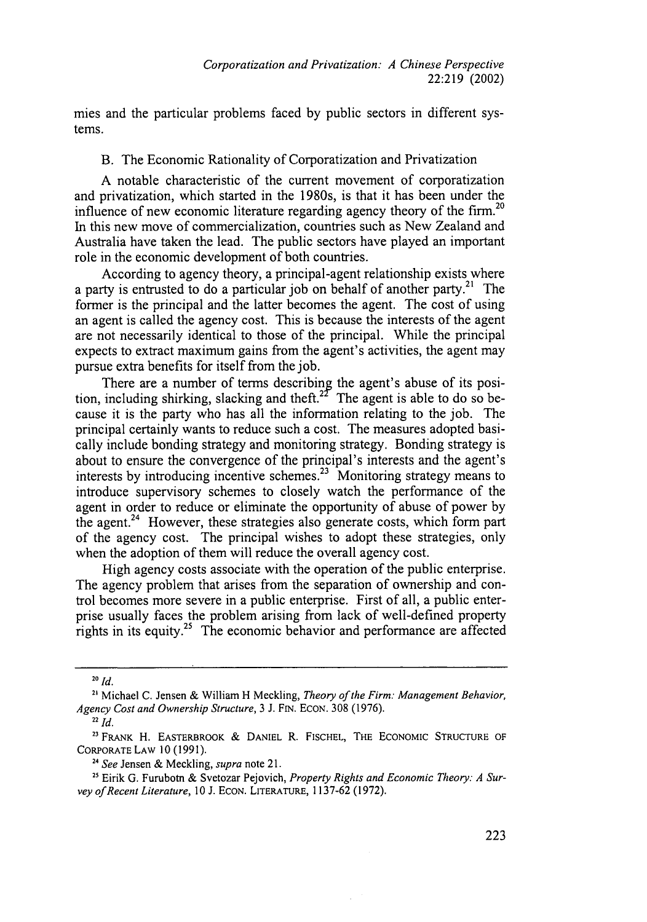mies and the particular problems faced by public sectors in different systems.

B. The Economic Rationality of Corporatization and Privatization

A notable characteristic of the current movement of corporatization and privatization, which started in the 1980s, is that it has been under the influence of new economic literature regarding agency theory of the firm.<sup>20</sup> In this new move of commercialization, countries such as New Zealand and Australia have taken the lead. The public sectors have played an important role in the economic development of both countries.

According to agency theory, a principal-agent relationship exists where a party is entrusted to do a particular job on behalf of another party.<sup>21</sup> The former is the principal and the latter becomes the agent. The cost of using an agent is called the agency cost. This is because the interests of the agent are not necessarily identical to those of the principal. While the principal expects to extract maximum gains from the agent's activities, the agent may pursue extra benefits for itself from the job.

There are a number of terms describing the agent's abuse of its position, including shirking, slacking and theft.<sup>22</sup> The agent is able to do so because it is the party who has all the information relating to the job. The principal certainly wants to reduce such a cost. The measures adopted basically include bonding strategy and monitoring strategy. Bonding strategy is about to ensure the convergence of the principal's interests and the agent's interests by introducing incentive schemes.23 Monitoring strategy means to introduce supervisory schemes to closely watch the performance of the agent in order to reduce or eliminate the opportunity of abuse of power by the agent.<sup>24</sup> However, these strategies also generate costs, which form part of the agency cost. The principal wishes to adopt these strategies, only when the adoption of them will reduce the overall agency cost.

High agency costs associate with the operation of the public enterprise. The agency problem that arises from the separation of ownership and control becomes more severe in a public enterprise. First of all, a public enterprise usually faces the problem arising from lack of well-defined property rights in its equity.<sup>25</sup> The economic behavior and performance are affected

**<sup>20</sup>** *Id.*

**<sup>21</sup>** Michael C. Jensen & William H Meckling, *Theory of the Firm: Management Behavior, Agency Cost and Ownership Structure,* 3 J. FIN. ECON. 308 (1976).

<sup>22</sup> *Id.*

**<sup>23</sup>** FRANK H. EASTERBROOK **&** DANIEL R. FISCHEL, **THE** ECONOMIC STRUCTURE OF CORPORATE LAW 10 (1991).

**<sup>24</sup>***See* Jensen & Meckling, *supra* note 21.

**<sup>25</sup>** Eirik G. Furubotn & Svetozar Pejovich, *Property Rights and Economic Theory: A Survey of Recent Literature,* 10 J. ECON. LITERATURE, 1137-62 (1972).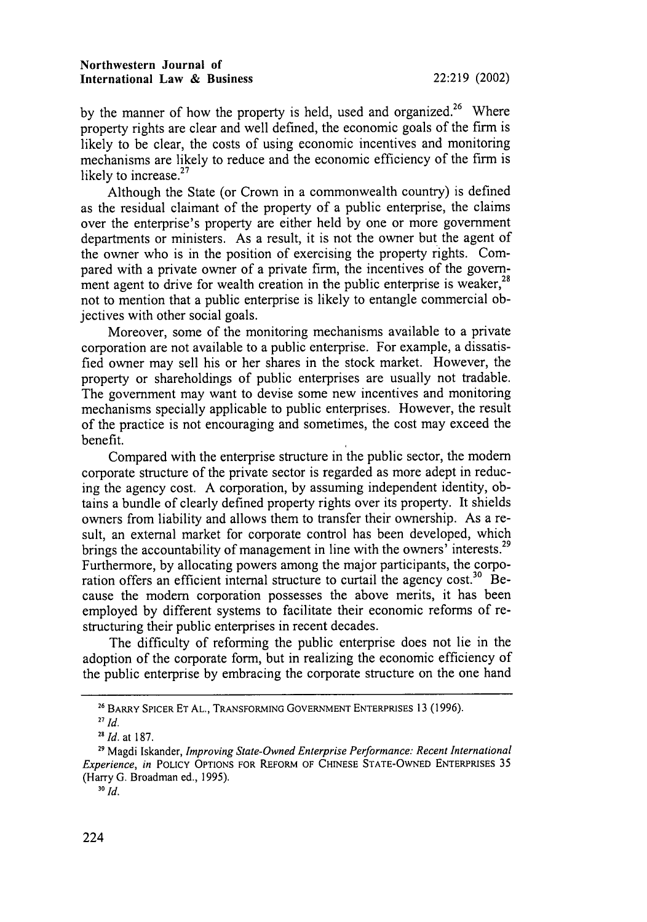by the manner of how the property is held, used and organized.<sup>26</sup> Where property rights are clear and well defined, the economic goals of the firm is likely to be clear, the costs of using economic incentives and monitoring mechanisms are likely to reduce and the economic efficiency of the firm **is** likely to increase.<sup>27</sup>

Although the State (or Crown in a commonwealth country) is defined as the residual claimant of the property of a public enterprise, the claims over the enterprise's property are either held by one or more government departments or ministers. As a result, it is not the owner but the agent of the owner who is in the position of exercising the property rights. Compared with a private owner of a private firm, the incentives of the government agent to drive for wealth creation in the public enterprise is weaker,<sup>28</sup> not to mention that a public enterprise is likely to entangle commercial objectives with other social goals.

Moreover, some of the monitoring mechanisms available to a private corporation are not available to a public enterprise. For example, a dissatisfied owner may sell his or her shares in the stock market. However, the property or shareholdings of public enterprises are usually not tradable. The government may want to devise some new incentives and monitoring mechanisms specially applicable to public enterprises. However, the result of the practice is not encouraging and sometimes, the cost may exceed the benefit.

Compared with the enterprise structure in the public sector, the modem corporate structure of the private sector is regarded as more adept in reducing the agency cost. A corporation, by assuming independent identity, obtains a bundle of clearly defined property rights over its property. It shields owners from liability and allows them to transfer their ownership. As a result, an external market for corporate control has been developed, which brings the accountability of management in line with the owners' interests.<sup>29</sup> Furthermore, by allocating powers among the major participants, the corporation offers an efficient internal structure to curtail the agency cost.<sup>30</sup> Because the modem corporation possesses the above merits, it has been employed by different systems to facilitate their economic reforms of restructuring their public enterprises in recent decades.

The difficulty of reforming the public enterprise does not lie in the adoption of the corporate form, but in realizing the economic efficiency of the public enterprise by embracing the corporate structure on the one hand

**<sup>26</sup>** BARRY SPICER **ET AL.,** TRANSFORMING **GOVERNMENT ENTERPRISES** 13 (1996).

**<sup>27</sup>** *Id.*

*<sup>28</sup> Id.* at 187.

**<sup>29</sup>** Magdi Iskander, *Improving State-Owned Enterprise Performance: Recent International Experience, in* POLICY **OPTIONS** FOR REFORM OF **CHINESE STATE-OWNED** ENTERPRISES 35 (Harry G. Broadman ed., 1995).

**<sup>30</sup>** *Id.*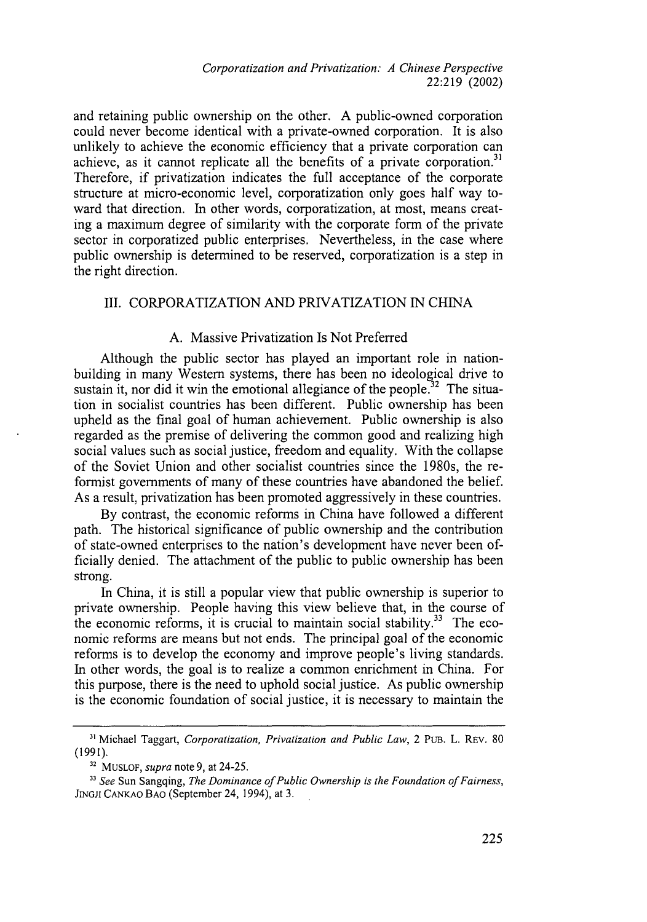*Corporatization and Privatization: A Chinese Perspective* 22:219 (2002)

and retaining public ownership on the other. A public-owned corporation could never become identical with a private-owned corporation. It is also unlikely to achieve the economic efficiency that a private corporation can achieve, as it cannot replicate all the benefits of a private corporation.<sup>31</sup> Therefore, if privatization indicates the full acceptance of the corporate structure at micro-economic level, corporatization only goes half way toward that direction. In other words, corporatization, at most, means creating a maximum degree of similarity with the corporate form of the private sector in corporatized public enterprises. Nevertheless, in the case where public ownership is determined to be reserved, corporatization is a step in the right direction.

### III. CORPORATIZATION AND PRIVATIZATION IN CHINA

# A. Massive Privatization Is Not Preferred

Although the public sector has played an important role in nationbuilding in many Western systems, there has been no ideological drive to sustain it, nor did it win the emotional allegiance of the people.<sup>32</sup> The situation in socialist countries has been different. Public ownership has been upheld as the final goal of human achievement. Public ownership is also regarded as the premise of delivering the common good and realizing high social values such as social justice, freedom and equality. With the collapse of the Soviet Union and other socialist countries since the 1980s, the reformist governments of many of these countries have abandoned the belief. As a result, privatization has been promoted aggressively in these countries.

By contrast, the economic reforms in China have followed a different path. The historical significance of public ownership and the contribution of state-owned enterprises to the nation's development have never been officially denied. The attachment of the public to public ownership has been strong.

In China, it is still a popular view that public ownership is superior to private ownership. People having this view believe that, in the course of the economic reforms, it is crucial to maintain social stability.<sup>33</sup> The economic reforms are means but not ends. The principal goal of the economic reforms is to develop the economy and improve people's living standards. In other words, the goal is to realize a common enrichment in China. For this purpose, there is the need to uphold social justice. As public ownership is the economic foundation of social justice, it is necessary to maintain the

**<sup>&</sup>quot;** Michael Taggart, *Corporatization, Privatization and Public Law,* 2 **PUB.** L. REV. 80 (1991).

**<sup>32</sup>** MUSLOF, *supra* note 9, at 24-25.

<sup>&</sup>lt;sup>33</sup> See Sun Sangqing, *The Dominance of Public Ownership is the Foundation of Fairness*, JrNGJI CANKAO BAO (September 24, 1994), at 3.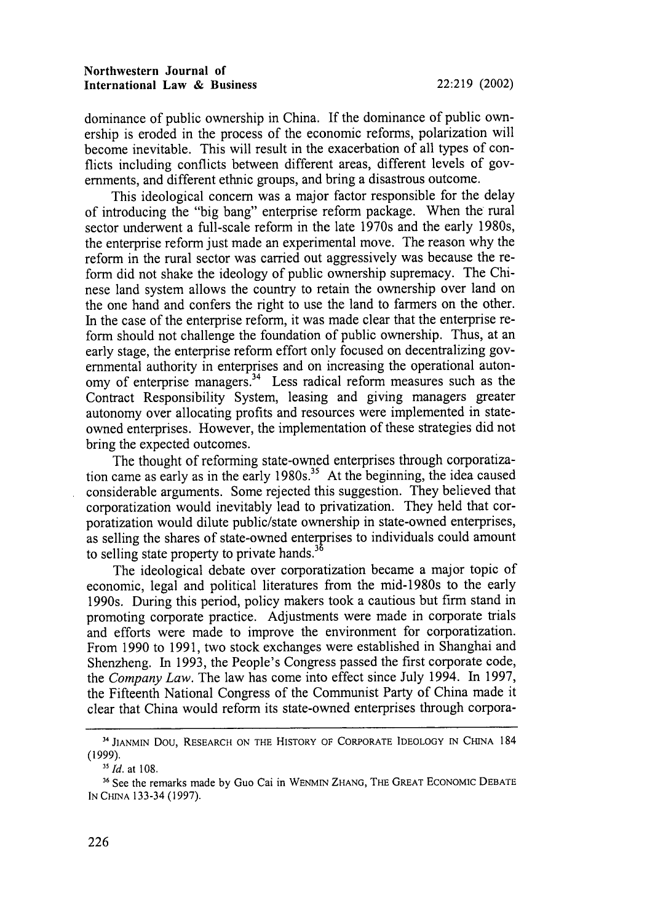dominance of public ownership in China. **If** the dominance of public ownership is eroded in the process of the economic reforms, polarization will become inevitable. This will result in the exacerbation of all types of conflicts including conflicts between different areas, different levels of governments, and different ethnic groups, and bring a disastrous outcome.

This ideological concern was a major factor responsible for the delay of introducing the "big bang" enterprise reform package. When the rural sector underwent a full-scale reform in the late 1970s and the early 1980s, the enterprise reform just made an experimental move. The reason why the reform in the rural sector was carried out aggressively was because the reform did not shake the ideology of public ownership supremacy. The Chinese land system allows the country to retain the ownership over land on the one hand and confers the right to use the land to farmers on the other. In the case of the enterprise reform, it was made clear that the enterprise reform should not challenge the foundation of public ownership. Thus, at an early stage, the enterprise reform effort only focused on decentralizing governmental authority in enterprises and on increasing the operational autonomy of enterprise managers.<sup>34</sup> Less radical reform measures such as the Contract Responsibility System, leasing and giving managers greater autonomy over allocating profits and resources were implemented in stateowned enterprises. However, the implementation of these strategies did not bring the expected outcomes.

The thought of reforming state-owned enterprises through corporatization came as early as in the early **1980s. 3'** At the beginning, the idea caused considerable arguments. Some rejected this suggestion. They believed that corporatization would inevitably lead to privatization. They held that corporatization would dilute public/state ownership in state-owned enterprises, as selling the shares of state-owned enterprises to individuals could amount to selling state property to private hands.<sup>3</sup>

The ideological debate over corporatization became a major topic of economic, legal and political literatures from the mid-1980s to the early 1990s. During this period, policy makers took a cautious but firm stand in promoting corporate practice. Adjustments were made in corporate trials and efforts were made to improve the environment for corporatization. From 1990 to 1991, two stock exchanges were established in Shanghai and Shenzheng. In 1993, the People's Congress passed the first corporate code, the *Company Law.* The law has come into effect since July 1994. In 1997, the Fifteenth National Congress of the Communist Party of China made it clear that China would reform its state-owned enterprises through corpora-

**<sup>34</sup> JIANMIN** Dou, RESEARCH **ON** THE HISTORY OF CORPORATE IDEOLOGY IN **CHINA** 184 (1999).

s *Id.* at 108.

**<sup>36</sup> See** the remarks made by Guo Cai in **WENMIN ZHANG,** THE GREAT ECONOMIC **DEBATE** IN CHINA 133-34 (1997).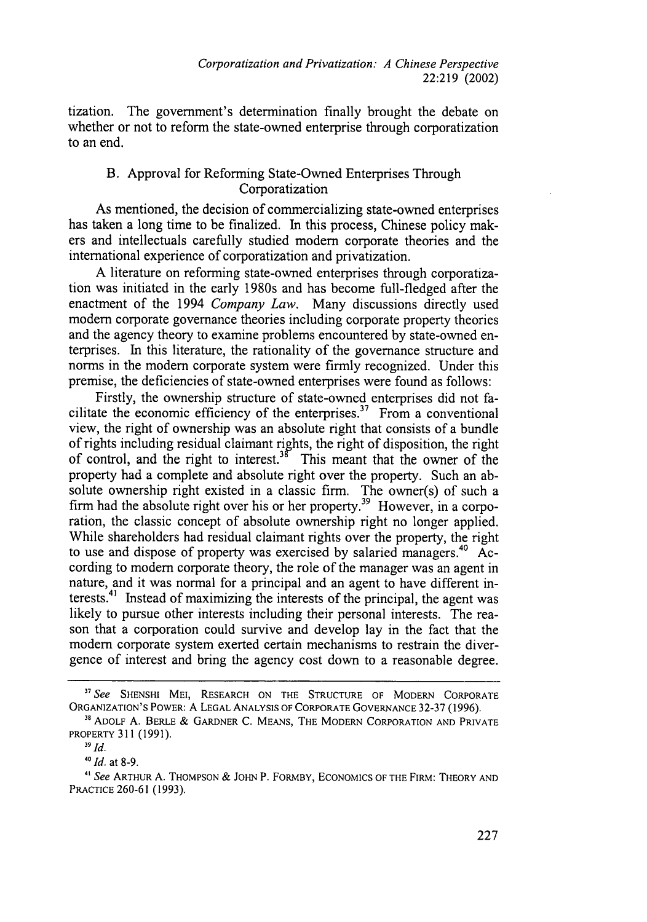tization. The government's determination finally brought the debate on whether or not to reform the state-owned enterprise through corporatization to an end.

# B. Approval for Reforming State-Owned Enterprises Through Corporatization

As mentioned, the decision of commercializing state-owned enterprises has taken a long time to be finalized. In this process, Chinese policy makers and intellectuals carefully studied modem corporate theories and the international experience of corporatization and privatization.

A literature on reforming state-owned enterprises through corporatization was initiated in the early 1980s and has become full-fledged after the enactment of the 1994 *Company Law.* Many discussions directly used modem corporate governance theories including corporate property theories and the agency theory to examine problems encountered by state-owned enterprises. In this literature, the rationality of the governance structure and norms in the modem corporate system were firmly recognized. Under this premise, the deficiencies of state-owned enterprises were found as follows:

Firstly, the ownership structure of state-owned enterprises did not facilitate the economic efficiency of the enterprises.<sup>37</sup> From a conventional view, the right of ownership was an absolute right that consists of a bundle of rights including residual claimant rights, the right of disposition, the right of control, and the right to interest.<sup>38</sup> This meant that the owner of the property had a complete and absolute right over the property. Such an absolute ownership right existed in a classic firm. The owner(s) of such a firm had the absolute right over his or her property.<sup>39</sup> However, in a corporation, the classic concept of absolute ownership right no longer applied. While shareholders had residual claimant rights over the property, the right to use and dispose of property was exercised by salaried managers.<sup>40</sup> According to modem corporate theory, the role of the manager was an agent in nature, and it was normal for a principal and an agent to have different interests. $41$  Instead of maximizing the interests of the principal, the agent was likely to pursue other interests including their personal interests. The reason that a corporation could survive and develop lay in the fact that the modem corporate system exerted certain mechanisms to restrain the divergence of interest and bring the agency cost down to a reasonable degree.

*<sup>&</sup>quot; See* **SHENSHI** MEI, RESEARCH **ON THE STRUCTURE** OF MODERN CORPORATE **ORGANIZATION'S** POWER: **A LEGAL ANALYSIS** OF CORPORATE GOVERNANCE 32-37 (1996). **11 ADOLF** A. BERLE & GARDNER C. MEANS, THE MODERN CORPORATION **AND** PRIVATE

PROPERTY **311** (1991).

**<sup>39</sup>** *Id.*

*<sup>4</sup> 0 Id.* at **8-9.**

*<sup>&</sup>quot;' See* ARTHUR A. **THOMPSON** & JOHN P. FORMBY, **ECONOMICS** OF THE FIRM: THEORY **AND** PRACTICE 260-61 (1993).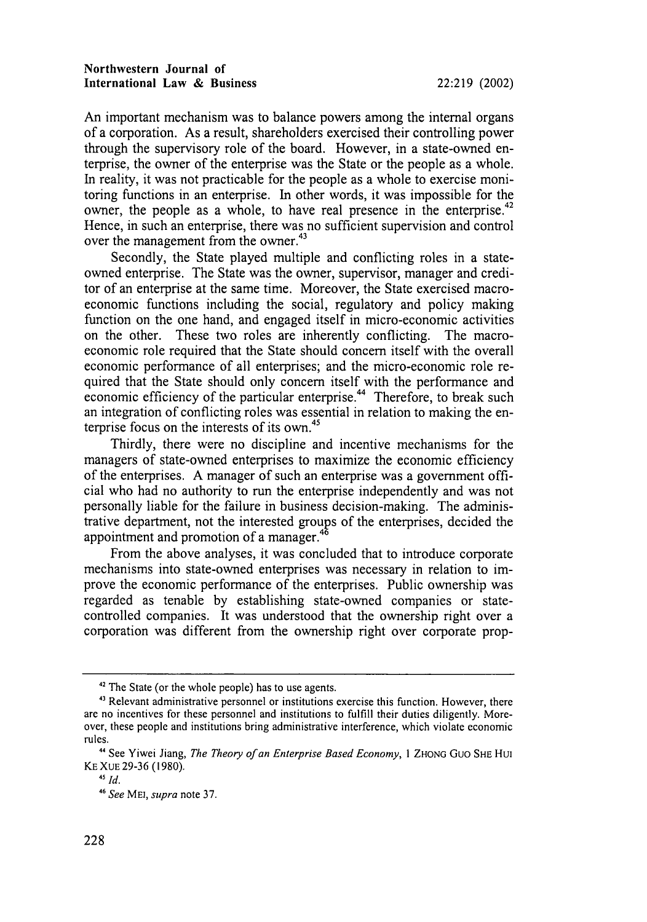An important mechanism was to balance powers among the internal organs of a corporation. As a result, shareholders exercised their controlling power through the supervisory role of the board. However, in a state-owned enterprise, the owner of the enterprise was the State or the people as a whole. In reality, it was not practicable for the people as a whole to exercise monitoring functions in an enterprise. In other words, it was impossible for the owner, the people as a whole, to have real presence in the enterprise.<sup>42</sup> Hence, in such an enterprise, there was no sufficient supervision and control over the management from the owner.<sup>43</sup>

Secondly, the State played multiple and conflicting roles in a stateowned enterprise. The State was the owner, supervisor, manager and creditor of an enterprise at the same time. Moreover, the State exercised macroeconomic functions including the social, regulatory and policy making function on the one hand, and engaged itself in micro-economic activities on the other. These two roles are inherently conflicting. The macroeconomic role required that the State should concern itself with the overall economic performance of all enterprises; and the micro-economic role required that the State should only concern itself with the performance and economic efficiency of the particular enterprise.<sup>44</sup> Therefore, to break such an integration of conflicting roles was essential in relation to making the enterprise focus on the interests of its own.<sup>45</sup>

Thirdly, there were no discipline and incentive mechanisms for the managers of state-owned enterprises to maximize the economic efficiency of the enterprises. A manager of such an enterprise was a government official who had no authority to run the enterprise independently and was not personally liable for the failure in business decision-making. The administrative department, not the interested groups of the enterprises, decided the appointment and promotion of a manager.<sup>46</sup>

From the above analyses, it was concluded that to introduce corporate mechanisms into state-owned enterprises was necessary in relation to improve the economic performance of the enterprises. Public ownership was regarded as tenable by establishing state-owned companies or statecontrolled companies. It was understood that the ownership right over a corporation was different from the ownership right over corporate prop-

**<sup>42</sup>** The State (or the whole people) has to use agents.

<sup>&</sup>lt;sup>43</sup> Relevant administrative personnel or institutions exercise this function. However, there are no incentives for these personnel and institutions to fulfill their duties diligently. Moreover, these people and institutions bring administrative interference, which violate economic rules.

**<sup>&</sup>quot;** See Yiwei Jiang, *The Theory of an Enterprise Based Economy,* **I** ZHONG Guo SHE Hui KE XUE 29-36 (1980).

<sup>45</sup> *Id.*

<sup>46</sup> *See* ME1, *supra* note 37.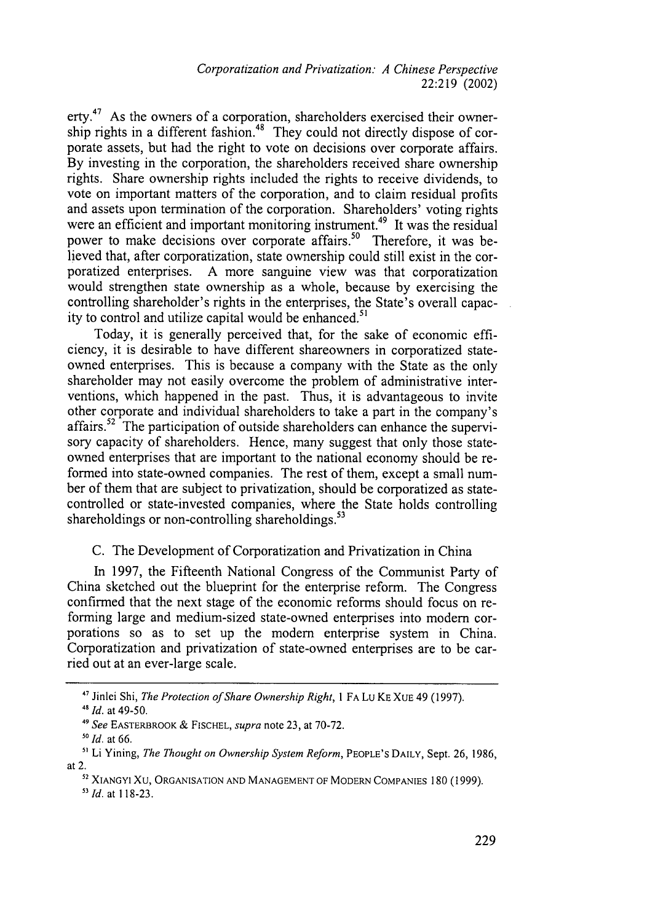*Corporatization and Privatization: A Chinese Perspective* 22:219 (2002)

erty.<sup>47</sup> As the owners of a corporation, shareholders exercised their ownership rights in a different fashion.<sup>48</sup> They could not directly dispose of corporate assets, but had the right to vote on decisions over corporate affairs. By investing in the corporation, the shareholders received share ownership rights. Share ownership rights included the rights to receive dividends, to vote on important matters of the corporation, and to claim residual profits and assets upon termination of the corporation. Shareholders' voting rights were an efficient and important monitoring instrument.<sup>49</sup> It was the residual power to make decisions over corporate affairs.<sup>50</sup> Therefore, it was believed that, after corporatization, state ownership could still exist in the corporatized enterprises. A more sanguine view was that corporatization would strengthen state ownership as a whole, because by exercising the controlling shareholder's rights in the enterprises, the State's overall capacity to control and utilize capital would be enhanced."'

Today, it is generally perceived that, for the sake of economic efficiency, it is desirable to have different shareowners in corporatized stateowned enterprises. This is because a company with the State as the only shareholder may not easily overcome the problem of administrative interventions, which happened in the past. Thus, it is advantageous to invite other corporate and individual shareholders to take a part in the company's affairs.<sup>52</sup> The participation of outside shareholders can enhance the supervisory capacity of shareholders. Hence, many suggest that only those stateowned enterprises that are important to the national economy should be reformed into state-owned companies. The rest of them, except a small number of them that are subject to privatization, should be corporatized as statecontrolled or state-invested companies, where the State holds controlling shareholdings or non-controlling shareholdings. $53$ 

C. The Development of Corporatization and Privatization in China

In 1997, the Fifteenth National Congress of the Communist Party of China sketched out the blueprint for the enterprise reform. The Congress confirmed that the next stage of the economic reforms should focus on reforming large and medium-sized state-owned enterprises into modem corporations so as to set up the modem enterprise system in China. Corporatization and privatization of state-owned enterprises are to be carried out at an ever-large scale.

**<sup>17</sup>**Jinlei Shi, *The Protection of Share Ownership Right, I* FA Lu KE XUE 49 (1997).

*<sup>41</sup>Id.* at 49-50.

*<sup>49</sup>See* EASTERBROOK & FISCHEL, *supra* note 23, at 70-72.

<sup>&</sup>lt;sup>50</sup> *Id.* at 66.

**<sup>&</sup>quot;** Li Yining, *The Thought on Ownership System Reform,* PEOPLE'S DAILY, Sept. 26, 1986, at 2.

**<sup>52</sup>** XIANGYI XU, ORGANISATION AND MANAGEMENT OF MODERN COMPANIES 180 (1999).

*<sup>5</sup> Id.* at 118-23.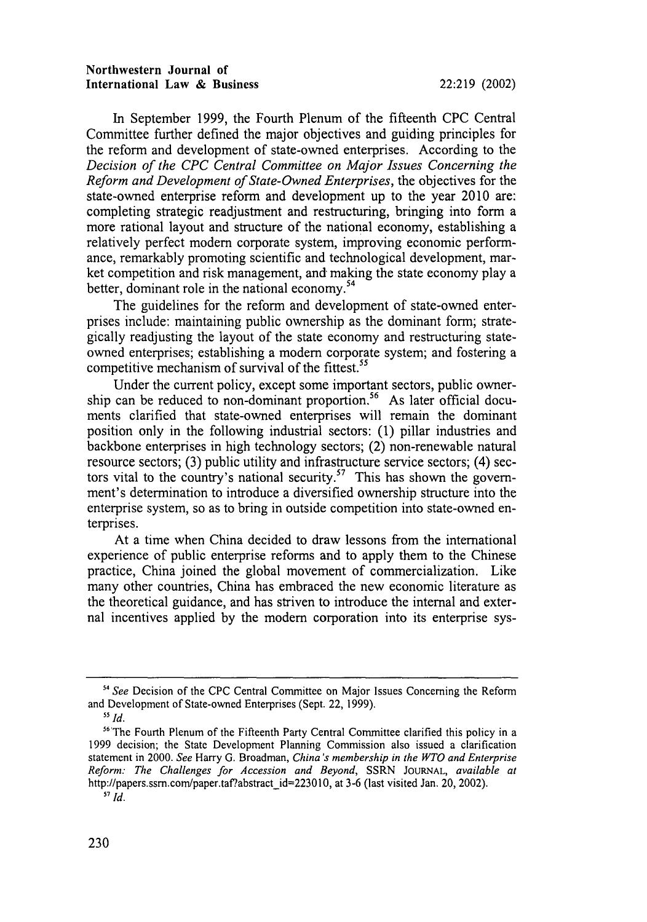#### Northwestern Journal of International Law **&** Business 22:219 (2002)

In September 1999, the Fourth Plenum of the fifteenth **CPC** Central Committee further defined the major objectives and guiding principles for the reform and development of state-owned enterprises. According to the *Decision of the CPC Central Committee on Major Issues Concerning the Reform and Development of State-Owned Enterprises,* the objectives for the state-owned enterprise reform and development up to the year 2010 are: completing strategic readjustment and restructuring, bringing into form a more rational layout and structure of the national economy, establishing a relatively perfect modem corporate system, improving economic performance, remarkably promoting scientific and technological development, market competition and risk management, and making the state economy play a better, dominant role in the national economy.<sup>54</sup>

The guidelines for the reform and development of state-owned enterprises include: maintaining public ownership as the dominant form; strategically readjusting the layout of the state economy and restructuring stateowned enterprises; establishing a modem corporate system; and fostering a competitive mechanism of survival of the fittest.<sup>55</sup>

Under the current policy, except some important sectors, public ownership can be reduced to non-dominant proportion.<sup>56</sup> As later official documents clarified that state-owned enterprises will remain the dominant position only in the following industrial sectors: (1) pillar industries and backbone enterprises in high technology sectors; (2) non-renewable natural resource sectors; (3) public utility and infrastructure service sectors; (4) sectors vital to the country's national security.<sup>57</sup> This has shown the government's determination to introduce a diversified ownership structure into the enterprise system, so as to bring in outside competition into state-owned enterprises.

At a time when China decided to draw lessons from the international experience of public enterprise reforms and to apply them to the Chinese practice, China joined the global movement of commercialization. Like many other countries, China has embraced the new economic literature as the theoretical guidance, and has striven to introduce the internal and external incentives applied by the modem corporation into its enterprise sys-

<sup>&</sup>lt;sup>54</sup> See Decision of the CPC Central Committee on Major Issues Concerning the Reform and Development of State-owned Enterprises (Sept. 22, 1999).

**<sup>55</sup>** *Id.*

<sup>&</sup>lt;sup>56</sup> The Fourth Plenum of the Fifteenth Party Central Committee clarified this policy in a 1999 decision; the State Development Planning Commission also issued a clarification statement in 2000. *See* Harry G. Broadman, *China's membership in the WTO and Enterprise Reform: The Challenges for Accession and Beyond,* SSRN JOURNAL, *available at* http://papers.ssm.com/paper.taf?abstract\_id=223010, at 3-6 (last visited Jan. 20, 2002). **57** *Id.*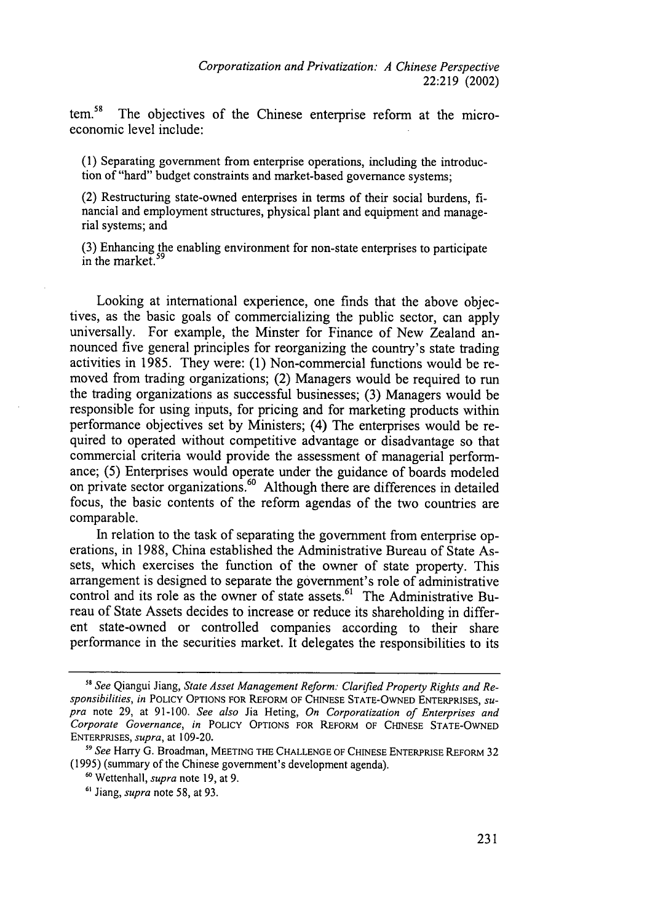tem.<sup>58</sup> The objectives of the Chinese enterprise reform at the microeconomic level include:

(1) Separating government from enterprise operations, including the introduction of "hard" budget constraints and market-based governance systems;

(2) Restructuring state-owned enterprises in terms of their social burdens, financial and employment structures, physical plant and equipment and managerial systems; and

(3) Enhancing the enabling environment for non-state enterprises to participate in the market.<sup>5</sup>

Looking at international experience, one finds that the above objectives, as the basic goals of commercializing the public sector, can apply universally. For example, the Minster for Finance of New Zealand announced five general principles for reorganizing the country's state trading activities in 1985. They were: (1) Non-commercial functions would be removed from trading organizations; (2) Managers would be required to run the trading organizations as successful businesses; (3) Managers would be responsible for using inputs, for pricing and for marketing products within performance objectives set by Ministers; (4) The enterprises would be required to operated without competitive advantage or disadvantage so that commercial criteria would provide the assessment of managerial performance; (5) Enterprises would operate under the guidance of boards modeled on private sector organizations.<sup>60</sup> Although there are differences in detailed focus, the basic contents of the reform agendas of the two countries are comparable.

In relation to the task of separating the government from enterprise operations, in 1988, China established the Administrative Bureau of State Assets, which exercises the function of the owner of state property. This arrangement is designed to separate the government's role of administrative control and its role as the owner of state assets.<sup>61</sup> The Administrative Bureau of State Assets decides to increase or reduce its shareholding in different state-owned or controlled companies according to their share performance in the securities market. It delegates the responsibilities to its

**<sup>&</sup>quot;8** *See* Qiangui Jiang, *State Asset Management Reform: Clarified Property Rights and Responsibilities, in* POLICY **OPTIONS FOR** REFORM OF **CHINESE STATE-OWNED** ENTERPRISES, *supra* note 29, at 91-100. *See also* Jia Heting, *On Corporatization of Enterprises and Corporate Governance, in* POLICY OPTIONS FOR REFORM OF **CHINESE STATE-OWNED** ENTERPRISES, *supra,* at 109-20.

*<sup>&</sup>quot;* See Harry G. Broadman, **MEETING THE CHALLENGE** OF **CHINESE ENTERPRISE** REFORM 32 (1995) (summary of the Chinese government's development agenda).

**<sup>60</sup>** Wettenhall, *supra* note 19, at 9.

**<sup>&</sup>quot;'** Jiang, *supra* note 58, at 93.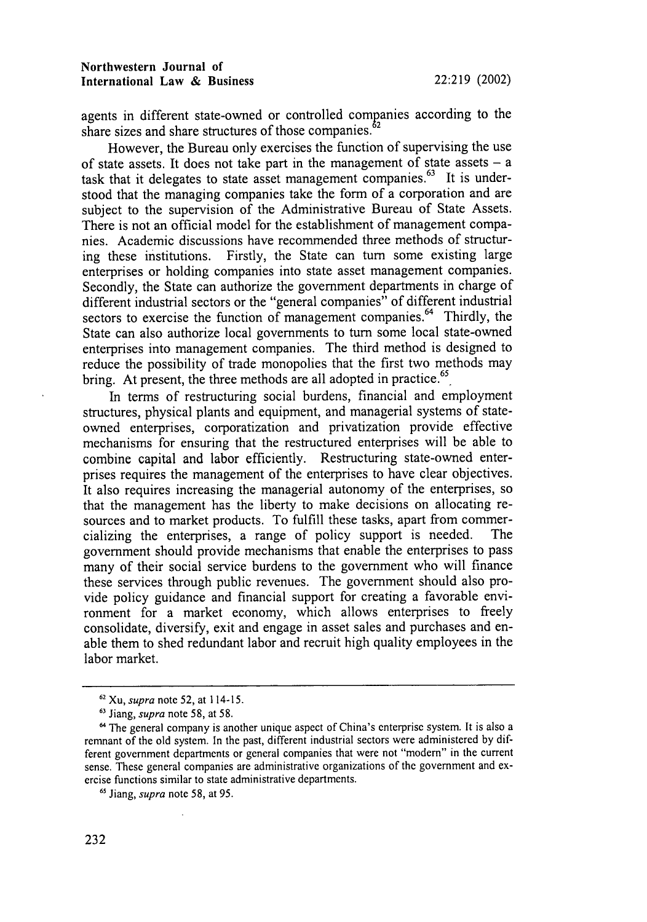agents in different state-owned or controlled companies according to the share sizes and share structures of those companies.<sup>62</sup>

However, the Bureau only exercises the function of supervising the use of state assets. It does not take part in the management of state assets **-** a task that it delegates to state asset management companies.<sup>63</sup> It is understood that the managing companies take the form of a corporation and are subject to the supervision of the Administrative Bureau of State Assets. There is not an official model for the establishment of management companies. Academic discussions have recommended three methods of structuring these institutions. Firstly, the State can turn some existing large enterprises or holding companies into state asset management companies. Secondly, the State can authorize the government departments in charge of different industrial sectors or the "general companies" of different industrial sectors to exercise the function of management companies.<sup>64</sup> Thirdly, the State can also authorize local governments to turn some local state-owned enterprises into management companies. The third method is designed to reduce the possibility of trade monopolies that the first two methods may bring. At present, the three methods are all adopted in practice.<sup>65</sup>

In terms of restructuring social burdens, financial and employment structures, physical plants and equipment, and managerial systems of stateowned enterprises, corporatization and privatization provide effective mechanisms for ensuring that the restructured enterprises will be able to combine capital and labor efficiently. Restructuring state-owned enterprises requires the management of the enterprises to have clear objectives. It also requires increasing the managerial autonomy of the enterprises, so that the management has the liberty to make decisions on allocating resources and to market products. To fulfill these tasks, apart from commercializing the enterprises, a range of policy support is needed. The government should provide mechanisms that enable the enterprises to pass many of their social service burdens to the government who will finance these services through public revenues. The government should also provide policy guidance and financial support for creating a favorable environment for a market economy, which allows enterprises to freely consolidate, diversify, exit and engage in asset sales and purchases and enable them to shed redundant labor and recruit high quality employees in the labor market.

**<sup>62</sup>** Xu, *supra* note 52, at 114-15.

**<sup>63</sup>** Jiang, *supra* note 58, at 58.

<sup>&</sup>lt;sup>64</sup> The general company is another unique aspect of China's enterprise system. It is also a remnant of the old system. In the past, different industrial sectors were administered by different government departments or general companies that were not "modern" in the current sense. These general companies are administrative organizations of the government and exercise functions similar to state administrative departments.

**<sup>65</sup>** Jiang, *supra* note 58, at 95.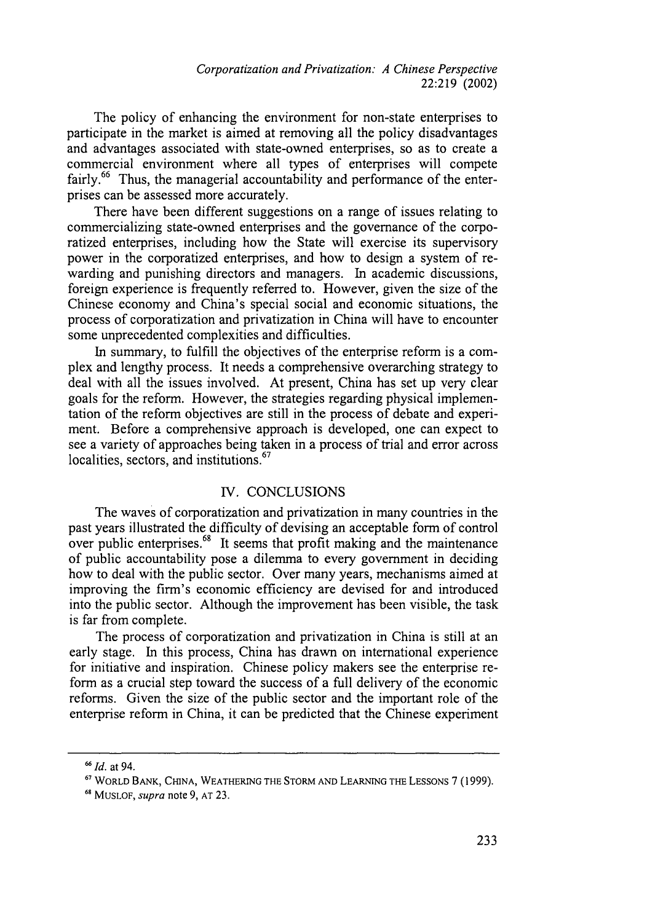*Corporatization and Privatization: A Chinese Perspective* 22:219 (2002)

The policy of enhancing the environment for non-state enterprises to participate in the market is aimed at removing all the policy disadvantages and advantages associated with state-owned enterprises, so as to create a commercial environment where all types of enterprises will compete fairly.<sup>66</sup> Thus, the managerial accountability and performance of the enterprises can be assessed more accurately.

There have been different suggestions on a range of issues relating to commercializing state-owned enterprises and the governance of the corporatized enterprises, including how the State will exercise its supervisory power in the corporatized enterprises, and how to design a system of rewarding and punishing directors and managers. In academic discussions, foreign experience is frequently referred to. However, given the size of the Chinese economy and China's special social and economic situations, the process of corporatization and privatization in China will have to encounter some unprecedented complexities and difficulties.

In summary, to fulfill the objectives of the enterprise reform is a complex and lengthy process. It needs a comprehensive overarching strategy to deal with all the issues involved. At present, China has set up very clear goals for the reform. However, the strategies regarding physical implementation of the reform objectives are still in the process of debate and experiment. Before a comprehensive approach is developed, one can expect to see a variety of approaches being taken in a process of trial and error across localities, sectors, and institutions.<sup>67</sup>

#### IV. CONCLUSIONS

The waves of corporatization and privatization in many countries in the past years illustrated the difficulty of devising an acceptable form of control over public enterprises.<sup>68</sup> It seems that profit making and the maintenance of public accountability pose a dilemma to every government in deciding how to deal with the public sector. Over many years, mechanisms aimed at improving the firm's economic efficiency are devised for and introduced into the public sector. Although the improvement has been visible, the task is far from complete.

The process of corporatization and privatization in China is still at an early stage. In this process, China has drawn on international experience for initiative and inspiration. Chinese policy makers see the enterprise reform as a crucial step toward the success of a full delivery of the economic reforms. Given the size of the public sector and the important role of the enterprise reform in China, it can be predicted that the Chinese experiment

*<sup>6</sup>Id.* at 94.

**<sup>67</sup>** WORLD BANK, CHINA, WEATHERING THE STORM AND LEARNING THE LESSONs 7 (1999).

**<sup>68</sup>** MUSLOF, *supra* note 9, AT 23.